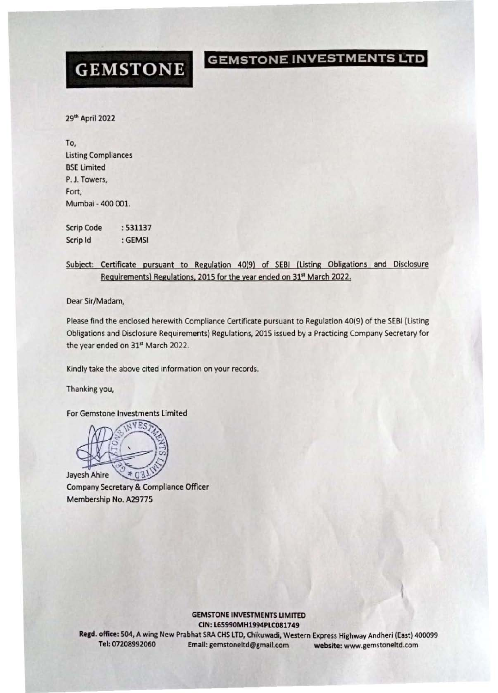## GEMSTONE

GEMSTONE INVESTMENTS LTD

29'" April 2022

To, **Listing Compliances** BSE limited P. J. Towers, Fort, Mumhai - 400 001.

Scrip Code Scrip Id :531137 :GEMSI

Subject: Certificate pursuant to Regulation 40/9) of SEBI (listing Obligations and Disclosure Requirements) Regulations, 2015 for the year ended on 31<sup>st</sup> March 2022.

Dear Sir/Madam,

Please find the enclosed herewith Compliance Certificate pursuant to Regulation 40(9) of the SEBI (Listing Obligations and Disclosure Requirements) Regulations, 2015 issued by a Practicing Company Secretary for the year ended on 31st March 2022.

Kindly take the above cited information on your records.

Thanking you,

For Gemstone Investments Limited



Company Secretary & Compliance Officer Membership No. A29775

> **GEMSTONE INVESTMENTS LIMITED** elN: L65990MHl994PLC081749

Regd. office: 504, A wing New Prabhat SRA CHS LTD, Chikuwadi, Western Express Highway Andheri (East) 400099 Tel: 07208992060 Email: gemstoneltd@gmail.com website: www.gemstoneltd.com